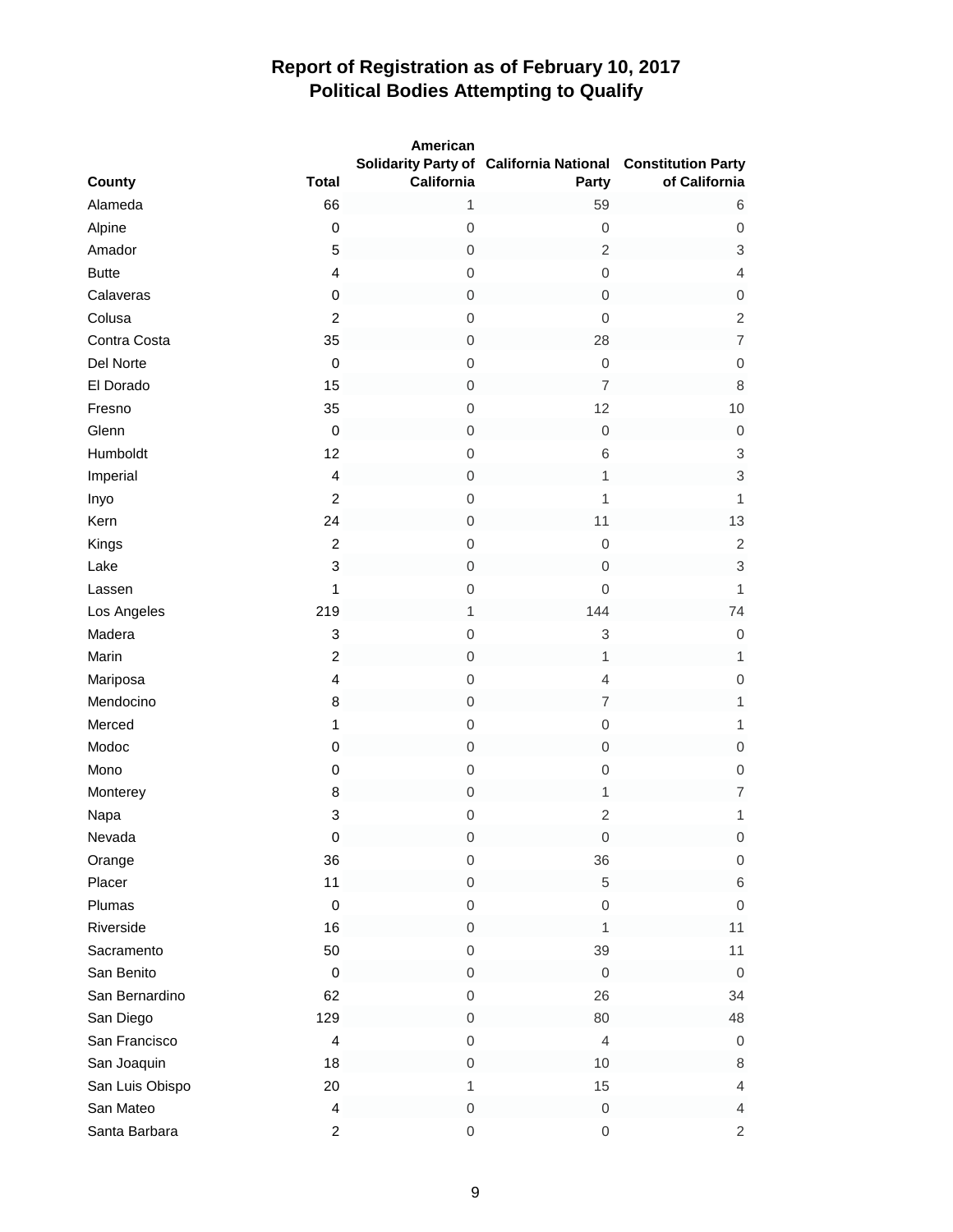|                 |                         | American            | Solidarity Party of California National Constitution Party |                           |
|-----------------|-------------------------|---------------------|------------------------------------------------------------|---------------------------|
| County          | <b>Total</b>            | California          | Party                                                      | of California             |
| Alameda         | 66                      | $\mathbf{1}$        | 59                                                         | 6                         |
| Alpine          | $\pmb{0}$               | $\boldsymbol{0}$    | $\mathbf 0$                                                | $\mathsf{O}\xspace$       |
| Amador          | 5                       | $\mathsf{O}\xspace$ | $\overline{c}$                                             | $\ensuremath{\mathsf{3}}$ |
| <b>Butte</b>    | $\overline{\mathbf{4}}$ | $\mathbf 0$         | $\mathbf 0$                                                | 4                         |
| Calaveras       | $\pmb{0}$               | $\boldsymbol{0}$    | $\mathbf 0$                                                | $\mathsf{O}\xspace$       |
| Colusa          | $\overline{2}$          | $\boldsymbol{0}$    | $\mathsf{O}\xspace$                                        | $\overline{c}$            |
| Contra Costa    | 35                      | $\boldsymbol{0}$    | 28                                                         | $\overline{7}$            |
| Del Norte       | $\pmb{0}$               | $\mathbf 0$         | $\mathbf 0$                                                | $\mathsf{O}\xspace$       |
| El Dorado       | 15                      | $\boldsymbol{0}$    | $\overline{7}$                                             | $\,8\,$                   |
| Fresno          | 35                      | $\mathbf 0$         | 12                                                         | 10                        |
| Glenn           | $\pmb{0}$               | $\mbox{O}$          | $\mathbf 0$                                                | $\mbox{O}$                |
| Humboldt        | 12                      | $\boldsymbol{0}$    | 6                                                          | 3                         |
| Imperial        | 4                       | $\boldsymbol{0}$    | $\mathbf{1}$                                               | $\ensuremath{\mathsf{3}}$ |
| Inyo            | $\overline{2}$          | $\mathbf 0$         | $\mathbf{1}$                                               | 1                         |
| Kern            | 24                      | $\mbox{O}$          | 11                                                         | 13                        |
| Kings           | $\overline{c}$          | $\boldsymbol{0}$    | $\mathbf 0$                                                | $\sqrt{2}$                |
| Lake            | 3                       | $\mbox{O}$          | $\mathbf 0$                                                | $\ensuremath{\mathsf{3}}$ |
| Lassen          | $\mathbf{1}$            | $\boldsymbol{0}$    | $\mathbf 0$                                                | $\mathbf{1}$              |
| Los Angeles     | 219                     | $\mathbf{1}$        | 144                                                        | 74                        |
| Madera          | 3                       | $\mbox{O}$          | 3                                                          | $\boldsymbol{0}$          |
| Marin           | $\boldsymbol{2}$        | $\boldsymbol{0}$    | 1                                                          | 1                         |
| Mariposa        | $\overline{\mathbf{4}}$ | $\mathbf 0$         | $\overline{4}$                                             | $\mathsf{O}\xspace$       |
| Mendocino       | 8                       | $\boldsymbol{0}$    | $\overline{7}$                                             | $\mathbf{1}$              |
| Merced          | $\mathbf{1}$            | $\mathbf 0$         | $\mathbf 0$                                                | $\mathbf{1}$              |
| Modoc           | $\pmb{0}$               | $\mbox{O}$          | $\mathbf 0$                                                | $\boldsymbol{0}$          |
| Mono            | $\pmb{0}$               | $\boldsymbol{0}$    | $\mathbf 0$                                                | $\boldsymbol{0}$          |
| Monterey        | 8                       | $\mbox{O}$          | 1                                                          | $\overline{\mathcal{I}}$  |
| Napa            | 3                       | $\boldsymbol{0}$    | $\overline{2}$                                             | 1                         |
| Nevada          | $\pmb{0}$               | $\,0\,$             | $\mathbf 0$                                                | $\mathsf{O}\xspace$       |
| Orange          | 36                      | 0                   | 36                                                         | $\mbox{O}$                |
| Placer          | 11                      | $\boldsymbol{0}$    | 5                                                          | $\,$ 6 $\,$               |
| Plumas          | $\pmb{0}$               | 0                   | $\mathsf{O}\xspace$                                        | $\mathbf 0$               |
| Riverside       | 16                      | 0                   | 1                                                          | 11                        |
| Sacramento      | 50                      | $\boldsymbol{0}$    | 39                                                         | 11                        |
| San Benito      | $\pmb{0}$               | 0                   | $\boldsymbol{0}$                                           | $\mathbf 0$               |
| San Bernardino  | 62                      | $\boldsymbol{0}$    | 26                                                         | 34                        |
| San Diego       | 129                     | $\mathsf{O}\xspace$ | 80                                                         | 48                        |
| San Francisco   | $\overline{\mathbf{4}}$ | $\boldsymbol{0}$    | $\overline{4}$                                             | $\boldsymbol{0}$          |
| San Joaquin     | 18                      | 0                   | 10                                                         | 8                         |
| San Luis Obispo | 20                      | $\mathbf{1}$        | 15                                                         | $\overline{\mathbf{4}}$   |
| San Mateo       | $\overline{\mathbf{4}}$ | $\,0\,$             | $\mathsf{O}\xspace$                                        | $\overline{\mathbf{4}}$   |
| Santa Barbara   | $\overline{c}$          | $\mathbf 0$         | $\mathbf 0$                                                | $\overline{c}$            |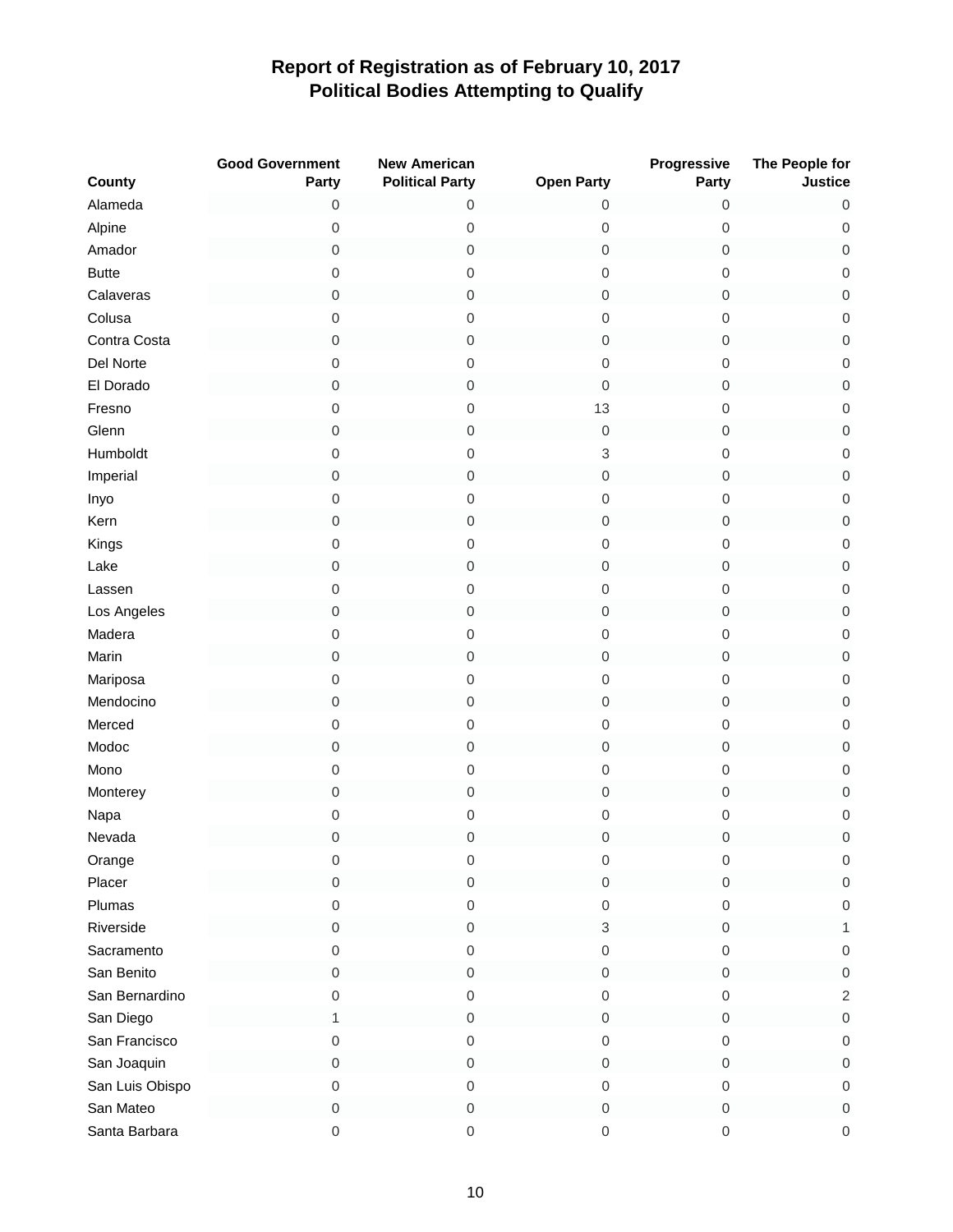|                 | <b>Good Government</b> | <b>New American</b>    |                     | Progressive         | The People for      |
|-----------------|------------------------|------------------------|---------------------|---------------------|---------------------|
| County          | Party                  | <b>Political Party</b> | <b>Open Party</b>   | Party               | <b>Justice</b>      |
| Alameda         | 0                      | 0                      | $\mathbf 0$         | 0                   | 0                   |
| Alpine          | $\boldsymbol{0}$       | $\mbox{O}$             | $\boldsymbol{0}$    | 0                   | $\boldsymbol{0}$    |
| Amador          | $\mathbf 0$            | 0                      | $\boldsymbol{0}$    | 0                   | $\,0\,$             |
| <b>Butte</b>    | $\mbox{O}$             | $\mbox{O}$             | $\boldsymbol{0}$    | $\mathsf{O}\xspace$ | $\boldsymbol{0}$    |
| Calaveras       | $\boldsymbol{0}$       | 0                      | $\boldsymbol{0}$    | 0                   | $\mathbf 0$         |
| Colusa          | $\mbox{O}$             | $\mbox{O}$             | $\boldsymbol{0}$    | 0                   | $\mathbf 0$         |
| Contra Costa    | $\mbox{O}$             | $\mbox{O}$             | $\mathbf 0$         | 0                   | $\mathsf{O}\xspace$ |
| Del Norte       | $\mbox{O}$             | $\boldsymbol{0}$       | $\boldsymbol{0}$    | 0                   | $\boldsymbol{0}$    |
| El Dorado       | $\mathbf 0$            | $\mathbf 0$            | $\boldsymbol{0}$    | $\mathsf{O}\xspace$ | $\mathbf 0$         |
| Fresno          | $\mbox{O}$             | 0                      | 13                  | 0                   | $\mbox{O}$          |
| Glenn           | $\mathbf 0$            | 0                      | $\mathbf 0$         | $\boldsymbol{0}$    | $\mbox{O}$          |
| Humboldt        | $\mbox{O}$             | $\mbox{O}$             | 3                   | $\boldsymbol{0}$    | $\mathsf{O}\xspace$ |
| Imperial        | $\mbox{O}$             | $\mathbf 0$            | $\mathbf 0$         | $\boldsymbol{0}$    | $\mbox{O}$          |
| Inyo            | $\mbox{O}$             | $\mathbf 0$            | $\boldsymbol{0}$    | 0                   | $\mathsf{O}\xspace$ |
| Kern            | $\mathbf 0$            | 0                      | $\boldsymbol{0}$    | 0                   | $\mbox{O}$          |
| Kings           | $\mbox{O}$             | $\boldsymbol{0}$       | $\boldsymbol{0}$    | $\boldsymbol{0}$    | $\mathsf{O}\xspace$ |
| Lake            | $\boldsymbol{0}$       | 0                      | $\boldsymbol{0}$    | 0                   | $\mathsf{O}\xspace$ |
| Lassen          | $\mathsf{O}\xspace$    | $\mbox{O}$             | $\boldsymbol{0}$    | $\mathsf{O}\xspace$ | $\boldsymbol{0}$    |
| Los Angeles     | $\mathsf{O}\xspace$    | 0                      | $\mathbf 0$         | 0                   | $\mathbf 0$         |
| Madera          | $\mathsf{O}\xspace$    | 0                      | $\boldsymbol{0}$    | 0                   | $\mathbf 0$         |
| Marin           | $\mathsf{O}\xspace$    | $\mbox{O}$             | $\boldsymbol{0}$    | $\mathbf 0$         | $\mathbf 0$         |
| Mariposa        | $\mbox{O}$             | 0                      | $\boldsymbol{0}$    | 0                   | $\mbox{O}$          |
| Mendocino       | $\mbox{O}$             | $\mbox{O}$             | $\boldsymbol{0}$    | $\mathsf{O}\xspace$ | $\mathbf 0$         |
| Merced          | $\mbox{O}$             | 0                      | $\boldsymbol{0}$    | 0                   | $\mathbf 0$         |
| Modoc           | $\mathbf 0$            | $\mbox{O}$             | $\mathbf 0$         | 0                   | $\mbox{O}$          |
| Mono            | $\mbox{O}$             | $\mbox{O}$             | $\boldsymbol{0}$    | $\mathsf{O}\xspace$ | $\mathbf 0$         |
| Monterey        | $\mbox{O}$             | $\boldsymbol{0}$       | $\boldsymbol{0}$    | 0                   | $\mathsf{O}\xspace$ |
| Napa            | $\boldsymbol{0}$       | $\boldsymbol{0}$       | $\boldsymbol{0}$    | 0                   | $\boldsymbol{0}$    |
| Nevada          | $\mathbf 0$            | 0                      | $\boldsymbol{0}$    | 0                   | $\mathbf 0$         |
| Orange          | $\mathbf 0$            | 0                      | $\boldsymbol{0}$    | 0                   | $\boldsymbol{0}$    |
| Placer          | 0                      | 0                      | $\mathbf 0$         | 0                   | $\mathsf 0$         |
| Plumas          | $\mathbf 0$            | 0                      | $\mathbf 0$         | 0                   | $\boldsymbol{0}$    |
| Riverside       | $\mathbf 0$            | $\mathbf 0$            | $\,$ 3 $\,$         | 0                   | 1                   |
| Sacramento      | $\mathbf 0$            | 0                      | $\mathbf 0$         | 0                   | $\boldsymbol{0}$    |
| San Benito      | $\mbox{O}$             | $\mbox{O}$             | $\mathbf 0$         | 0                   | $\mathbf 0$         |
| San Bernardino  | 0                      | 0                      | $\mathbf 0$         | 0                   | $\sqrt{2}$          |
| San Diego       | 1                      | 0                      | $\mathbf 0$         | 0                   | $\mathbf 0$         |
| San Francisco   | $\mathbf 0$            | $\mbox{O}$             | $\mbox{O}$          | 0                   | $\mathbf 0$         |
| San Joaquin     | $\mathbf 0$            | 0                      | $\mathbf 0$         | 0                   | $\mathbf 0$         |
| San Luis Obispo | $\mathbf 0$            | 0                      | $\mathbf 0$         | 0                   | $\boldsymbol{0}$    |
| San Mateo       | $\mathbf 0$            | 0                      | $\mathbf 0$         | 0                   | $\,0\,$             |
| Santa Barbara   | $\mathsf{O}\xspace$    | $\mathbf 0$            | $\mathsf{O}\xspace$ | $\boldsymbol{0}$    | $\,0\,$             |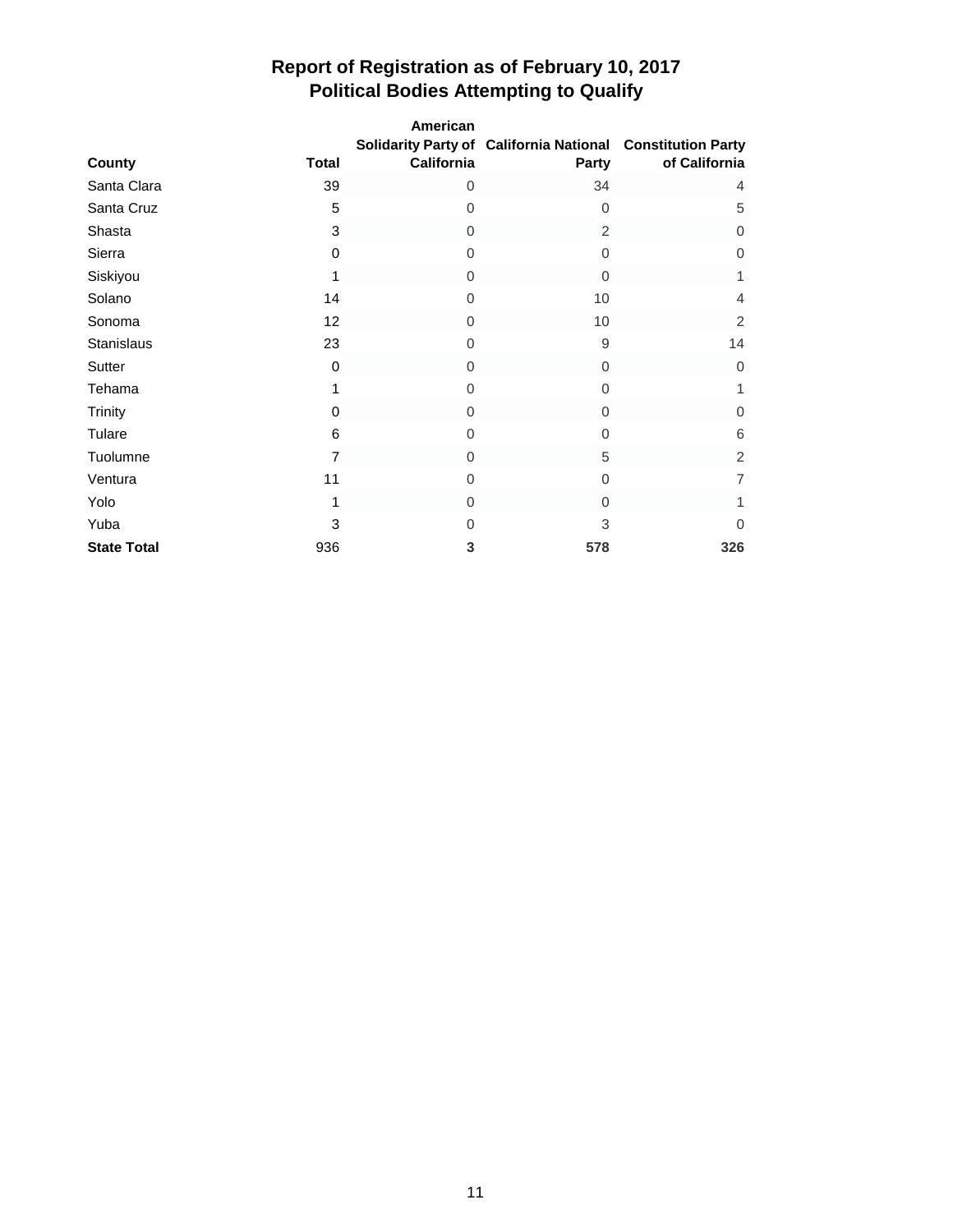|                    |                | American     |                                                                     |                |
|--------------------|----------------|--------------|---------------------------------------------------------------------|----------------|
| County             | <b>Total</b>   | California   | Solidarity Party of California National Constitution Party<br>Party | of California  |
| Santa Clara        | 39             | 0            | 34                                                                  | $\overline{4}$ |
| Santa Cruz         | 5              | 0            | $\Omega$                                                            | 5              |
| Shasta             | 3              | 0            | 2                                                                   | 0              |
| Sierra             | 0              | 0            | $\Omega$                                                            | 0              |
| Siskiyou           | 1              | 0            | $\Omega$                                                            | 1              |
| Solano             | 14             | 0            | 10                                                                  | 4              |
| Sonoma             | 12             | $\mathbf{0}$ | 10                                                                  | 2              |
| <b>Stanislaus</b>  | 23             | $\mathbf 0$  | 9                                                                   | 14             |
| Sutter             | 0              | $\mathbf{0}$ | $\mathbf{0}$                                                        | $\mathbf{0}$   |
| Tehama             | 1              | 0            | $\mathbf 0$                                                         | 1              |
| Trinity            | 0              | $\mathbf{0}$ | $\Omega$                                                            | $\overline{0}$ |
| Tulare             | 6              | 0            | $\mathbf 0$                                                         | 6              |
| Tuolumne           | $\overline{7}$ | $\mathbf{0}$ | 5                                                                   | $\overline{2}$ |
| Ventura            | 11             | 0            | 0                                                                   | $\overline{7}$ |
| Yolo               | 1              | 0            | $\Omega$                                                            | 1              |
| Yuba               | 3              | 0            | 3                                                                   | $\mathbf 0$    |
| <b>State Total</b> | 936            | 3            | 578                                                                 | 326            |